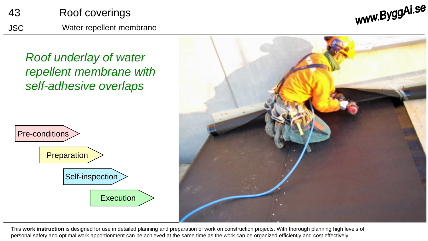

www.ByggAi.se

*Roof underlay of water repellent membrane with self-adhesive overlaps*





This **work instruction** is designed for use in detailed planning and preparation of work on construction projects. With thorough planning high levels of personal safety and optimal work apportionment can be achieved at the same time as the work can be organized efficiently and cost effectively.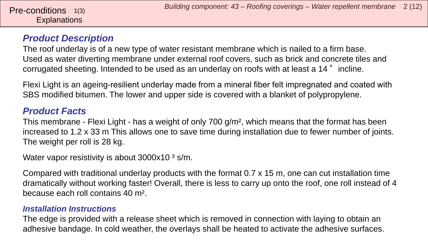# **Explanations**

## *Product Description*

The roof underlay is of a new type of water resistant membrane which is nailed to a firm base. Used as water diverting membrane under external roof covers, such as brick and concrete tiles and corrugated sheeting. Intended to be used as an underlay on roofs with at least a 14° incline.

Flexi Light is an ageing-resilient underlay made from a mineral fiber felt impregnated and coated with SBS modified bitumen. The lower and upper side is covered with a blanket of polypropylene.

## *Product Facts*

This membrane - Flexi Light - has a weight of only 700 g/m², which means that the format has been increased to 1.2 x 33 m This allows one to save time during installation due to fewer number of joints. The weight per roll is 28 kg.

Water vapor resistivity is about  $3000x10<sup>3</sup> s/m$ .

Compared with traditional underlay products with the format 0.7 x 15 m, one can cut installation time dramatically without working faster! Overall, there is less to carry up onto the roof, one roll instead of 4 because each roll contains 40 m².

#### *Installation Instructions*

The edge is provided with a release sheet which is removed in connection with laying to obtain an adhesive bandage. In cold weather, the overlays shall be heated to activate the adhesive surfaces.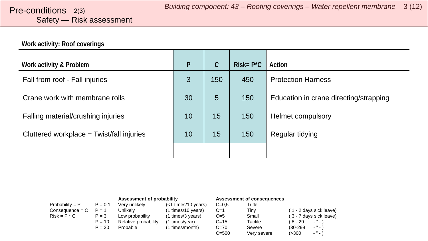# <span id="page-2-0"></span>Safety — Risk assessment

#### **Work activity: Roof coverings**

| Work activity & Problem                     | $\mathsf{P}$ | C   | $Risk = P^*C$ | Action                                 |
|---------------------------------------------|--------------|-----|---------------|----------------------------------------|
| Fall from roof - Fall injuries              | 3            | 150 | 450           | <b>Protection Harness</b>              |
| Crane work with membrane rolls              | 30           | 5   | 150           | Education in crane directing/strapping |
| Falling material/crushing injuries          | 10           | 15  | 150           | Helmet compulsory                      |
| Cluttered workplace $=$ Twist/fall injuries | 10           | 15  | 150           | Regular tidying                        |
|                                             |              |     |               |                                        |

|                   |           | Assessment of probability |                     | Assessment of consequences |             |                         |
|-------------------|-----------|---------------------------|---------------------|----------------------------|-------------|-------------------------|
| Probability = $P$ | $P = 0.1$ | Verv unlikelv             | (<1 times/10 years) | $C = 0.5$                  | Trifle      |                         |
| $Consequence = C$ | $P = 1$   | Unlikely                  | (1 times/10 years)  | $C=1$                      | Tinv        | (1 - 2 days sick leave) |
| $Risk = P * C$    | $P = 3$   | Low probability           | (1 times/3 years)   | $C=5$                      | Small       | (3 - 7 days sick leave) |
|                   | $P = 10$  | Relative probability      | (1 times/year)      | $C = 15$                   | Tactile     | $\cdots$<br>( 8 - 29    |
|                   | $P = 30$  | Probable                  | (1 times/month)     | $C=70$                     | Severe      | $\cdots$<br>$(30-299)$  |
|                   |           |                           |                     | $C = 500$                  | Very severe | $\sim$ $^{10}$<br>(>300 |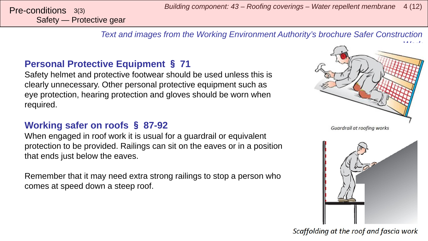*Building component: 43 – Roofing coverings – Water repellent membrane* <sup>4</sup> (12) Pre-conditions 3(3)

*Text and images from the Working Environment Authority's brochure Safer Construction* 

# **Personal Protective Equipment** § **71**

Safety helmet and protective footwear should be used unless this is clearly unnecessary. Other personal protective equipment such as eye protection, hearing protection and gloves should be worn when required.

## **Working safer on roofs** § **87-92**

When engaged in roof work it is usual for a guardrail or equivalent protection to be provided. Railings can sit on the eaves or in a position that ends just below the eaves.

Remember that it may need extra strong railings to stop a person who comes at speed down a steep roof.



Guardrail at roofing works



Scaffolding at the roof and fascia work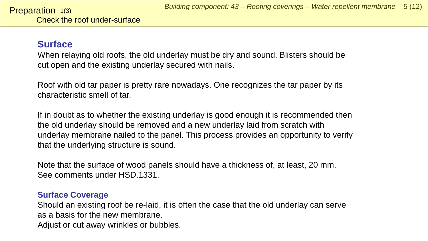## <span id="page-4-0"></span>**Surface**

When relaying old roofs, the old underlay must be dry and sound. Blisters should be cut open and the existing underlay secured with nails.

Roof with old tar paper is pretty rare nowadays. One recognizes the tar paper by its characteristic smell of tar.

If in doubt as to whether the existing underlay is good enough it is recommended then the old underlay should be removed and a new underlay laid from scratch with underlay membrane nailed to the panel. This process provides an opportunity to verify that the underlying structure is sound.

Note that the surface of wood panels should have a thickness of, at least, 20 mm. See comments under HSD.1331.

#### **Surface Coverage**

Should an existing roof be re-laid, it is often the case that the old underlay can serve as a basis for the new membrane. Adjust or cut away wrinkles or bubbles.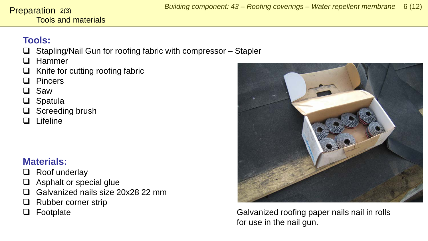#### Tools and materials **Preparation**  $2(3)$

# **Tools:**

- $\Box$  Stapling/Nail Gun for roofing fabric with compressor Stapler
- $\Box$  Hammer
- $\Box$  Knife for cutting roofing fabric
- □ Pincers
- □ Saw
- □ Spatula
- $\Box$  Screeding brush
- $\Box$  Lifeline

# **Materials:**

- $\Box$  Roof underlay
- $\Box$  Asphalt or special glue
- □ Galvanized nails size 20x28 22 mm
- $\Box$  Rubber corner strip
- 



□ Footplate Galvanized roofing paper nails nail in rolls for use in the nail gun.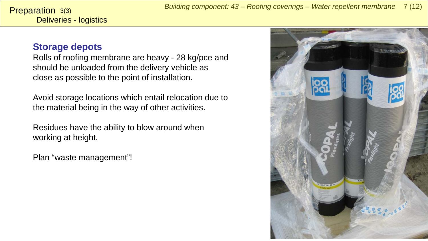### **Storage depots**

Rolls of roofing membrane are heavy - 28 kg/pce and should be unloaded from the delivery vehicle as close as possible to the point of installation.

Avoid storage locations which entail relocation due to the material being in the way of other activities.

Residues have the ability to blow around when working at height.

Plan "waste management"!

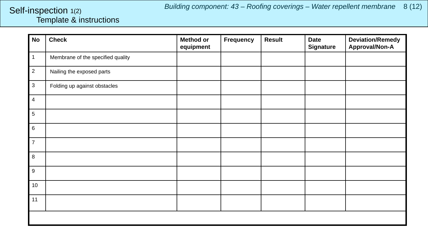### <span id="page-7-0"></span>Template & instructions Self-inspection 1(2)

| <b>No</b>      | <b>Check</b>                      | <b>Method or</b><br>equipment | Frequency | <b>Result</b> | <b>Date</b><br><b>Signature</b> | <b>Deviation/Remedy</b><br>Approval/Non-A |
|----------------|-----------------------------------|-------------------------------|-----------|---------------|---------------------------------|-------------------------------------------|
| $\mathbf{1}$   | Membrane of the specified quality |                               |           |               |                                 |                                           |
| $\overline{2}$ | Nailing the exposed parts         |                               |           |               |                                 |                                           |
| $\mathbf{3}$   | Folding up against obstacles      |                               |           |               |                                 |                                           |
| $\overline{4}$ |                                   |                               |           |               |                                 |                                           |
| 5              |                                   |                               |           |               |                                 |                                           |
| 6              |                                   |                               |           |               |                                 |                                           |
| $\overline{7}$ |                                   |                               |           |               |                                 |                                           |
| $\bf{8}$       |                                   |                               |           |               |                                 |                                           |
| $9\,$          |                                   |                               |           |               |                                 |                                           |
| 10             |                                   |                               |           |               |                                 |                                           |
| 11             |                                   |                               |           |               |                                 |                                           |
|                |                                   |                               |           |               |                                 |                                           |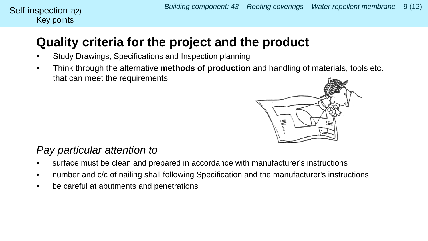# **Quality criteria for the project and the product**

- Study Drawings, Specifications and Inspection planning
- Think through the alternative **methods of production** and handling of materials, tools etc. that can meet the requirements



# *Pay particular attention to*

Key points

Self-inspection  $2(2)$ 

- surface must be clean and prepared in accordance with manufacturer's instructions
- number and c/c of nailing shall following Specification and the manufacturer's instructions
- be careful at abutments and penetrations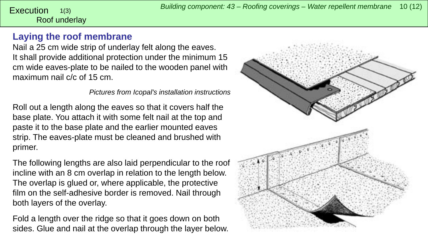#### <span id="page-9-0"></span>Roof underlay 1(3)

## **Laying the roof membrane**

Nail a 25 cm wide strip of underlay felt along the eaves. It shall provide additional protection under the minimum 15 cm wide eaves-plate to be nailed to the wooden panel with maximum nail c/c of 15 cm.

*Pictures from Icopal's installation instructions*

Roll out a length along the eaves so that it covers half the base plate. You attach it with some felt nail at the top and paste it to the base plate and the earlier mounted eaves strip. The eaves-plate must be cleaned and brushed with primer.

The following lengths are also laid perpendicular to the roof incline with an 8 cm overlap in relation to the length below. The overlap is glued or, where applicable, the protective film on the self-adhesive border is removed. Nail through both layers of the overlay.

Fold a length over the ridge so that it goes down on both sides. Glue and nail at the overlap through the layer below.

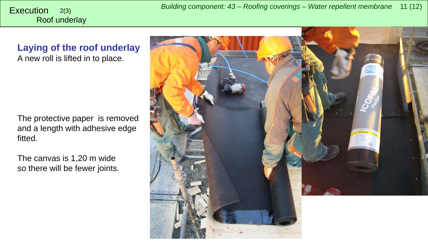*Building component: 43 – Roofing coverings – Water repellent membrane* <sup>11</sup> (12) Execution 2(3)

Roof underlay

**Laying of the roof underlay** A new roll is lifted in to place.

The protective paper is removed and a length with adhesive edge fitted.

The canvas is 1,20 m wide so there will be fewer joints.